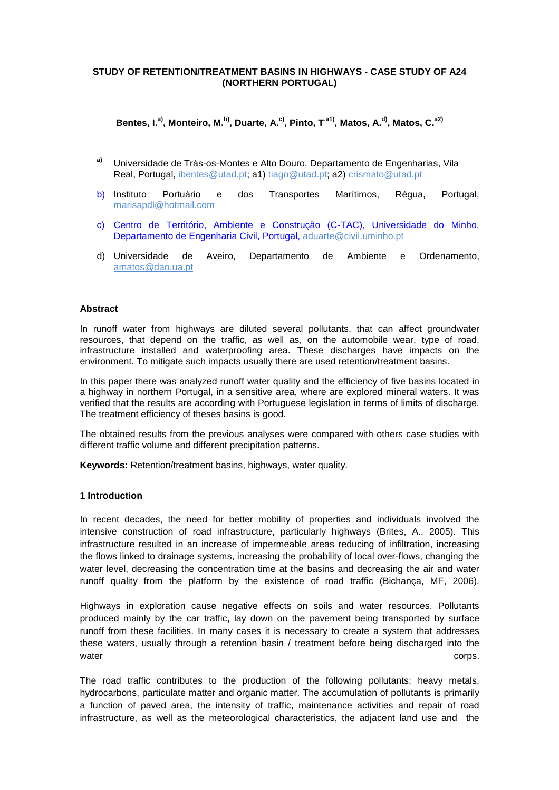#### **STUDY OF RETENTION/TREATMENT BASINS IN HIGHWAYS - CASE STUDY OF A24 (NORTHERN PORTUGAL)**

**Bentes, I.a), Monteiro, M.b), Duarte, A.c), Pinto, T.a1), Matos, A.d), Matos, C.a2)** 

- **a)** Universidade de Trás-os-Montes e Alto Douro, Departamento de Engenharias, Vila Real, Portugal, ibentes@utad.pt; a1) tiago@utad.pt; a2) crismato@utad.pt
- b) Instituto Portuário e dos Transportes Marítimos, Régua, Portugal, marisapdl@hotmail.com
- c) Centro de Território, Ambiente e Construção (C-TAC), Universidade do Minho, Departamento de Engenharia Civil, Portugal, aduarte@civil.uminho.pt
- d) Universidade de Aveiro, Departamento de Ambiente e Ordenamento, amatos@dao.ua.pt

#### **Abstract**

In runoff water from highways are diluted several pollutants, that can affect groundwater resources, that depend on the traffic, as well as, on the automobile wear, type of road, infrastructure installed and waterproofing area. These discharges have impacts on the environment. To mitigate such impacts usually there are used retention/treatment basins.

In this paper there was analyzed runoff water quality and the efficiency of five basins located in a highway in northern Portugal, in a sensitive area, where are explored mineral waters. It was verified that the results are according with Portuguese legislation in terms of limits of discharge. The treatment efficiency of theses basins is good.

The obtained results from the previous analyses were compared with others case studies with different traffic volume and different precipitation patterns.

**Keywords:** Retention/treatment basins, highways, water quality.

#### **1 Introduction**

In recent decades, the need for better mobility of properties and individuals involved the intensive construction of road infrastructure, particularly highways (Brites, A., 2005). This infrastructure resulted in an increase of impermeable areas reducing of infiltration, increasing the flows linked to drainage systems, increasing the probability of local over-flows, changing the water level, decreasing the concentration time at the basins and decreasing the air and water runoff quality from the platform by the existence of road traffic (Bichança, MF, 2006).

Highways in exploration cause negative effects on soils and water resources. Pollutants produced mainly by the car traffic, lay down on the pavement being transported by surface runoff from these facilities. In many cases it is necessary to create a system that addresses these waters, usually through a retention basin / treatment before being discharged into the water **compared to the compared of the compared of the compared of the compared of the compared of the compared of the compared of the compared of the compared of the compared of the compared of the compared of the compare** 

The road traffic contributes to the production of the following pollutants: heavy metals, hydrocarbons, particulate matter and organic matter. The accumulation of pollutants is primarily a function of paved area, the intensity of traffic, maintenance activities and repair of road infrastructure, as well as the meteorological characteristics, the adjacent land use and the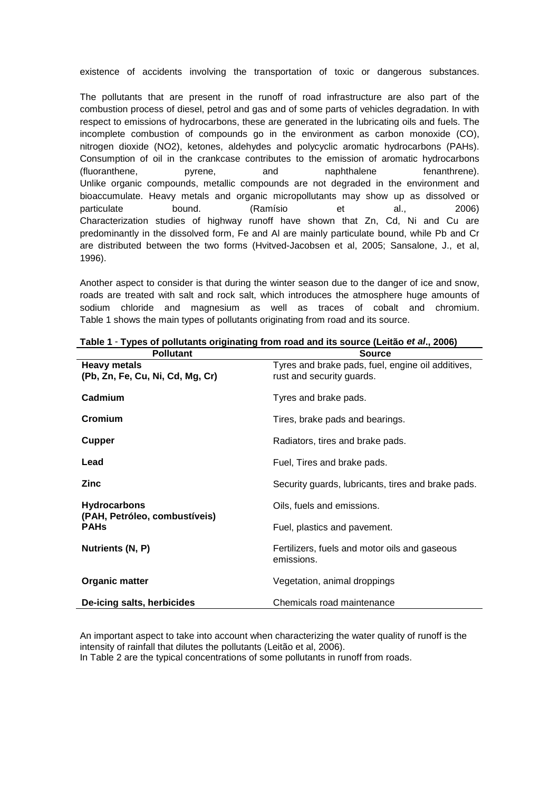existence of accidents involving the transportation of toxic or dangerous substances.

The pollutants that are present in the runoff of road infrastructure are also part of the combustion process of diesel, petrol and gas and of some parts of vehicles degradation. In with respect to emissions of hydrocarbons, these are generated in the lubricating oils and fuels. The incomplete combustion of compounds go in the environment as carbon monoxide (CO), nitrogen dioxide (NO2), ketones, aldehydes and polycyclic aromatic hydrocarbons (PAHs). Consumption of oil in the crankcase contributes to the emission of aromatic hydrocarbons (fluoranthene, pyrene, and naphthalene fenanthrene). Unlike organic compounds, metallic compounds are not degraded in the environment and bioaccumulate. Heavy metals and organic micropollutants may show up as dissolved or particulate bound. (Ramísio et al., 2006) Characterization studies of highway runoff have shown that Zn, Cd, Ni and Cu are predominantly in the dissolved form, Fe and Al are mainly particulate bound, while Pb and Cr are distributed between the two forms (Hvitved-Jacobsen et al, 2005; Sansalone, J., et al, 1996).

Another aspect to consider is that during the winter season due to the danger of ice and snow, roads are treated with salt and rock salt, which introduces the atmosphere huge amounts of sodium chloride and magnesium as well as traces of cobalt and chromium. Table 1 shows the main types of pollutants originating from road and its source.

| <b>Pollutant</b>                                        | <b>Source</b>                                                                  |
|---------------------------------------------------------|--------------------------------------------------------------------------------|
| <b>Heavy metals</b><br>(Pb, Zn, Fe, Cu, Ni, Cd, Mg, Cr) | Tyres and brake pads, fuel, engine oil additives,<br>rust and security guards. |
| Cadmium                                                 | Tyres and brake pads.                                                          |
| Cromium                                                 | Tires, brake pads and bearings.                                                |
| <b>Cupper</b>                                           | Radiators, tires and brake pads.                                               |
| Lead                                                    | Fuel, Tires and brake pads.                                                    |
| Zinc                                                    | Security guards, lubricants, tires and brake pads.                             |
| <b>Hydrocarbons</b><br>(PAH, Petróleo, combustíveis)    | Oils, fuels and emissions.                                                     |
| <b>PAHs</b>                                             | Fuel, plastics and pavement.                                                   |
| Nutrients (N, P)                                        | Fertilizers, fuels and motor oils and gaseous<br>emissions.                    |
| <b>Organic matter</b>                                   | Vegetation, animal droppings                                                   |
| De-icing salts, herbicides                              | Chemicals road maintenance                                                     |

**Table 1** - **Types of pollutants originating from road and its source (Leitão et al., 2006)** 

An important aspect to take into account when characterizing the water quality of runoff is the intensity of rainfall that dilutes the pollutants (Leitão et al, 2006). In Table 2 are the typical concentrations of some pollutants in runoff from roads.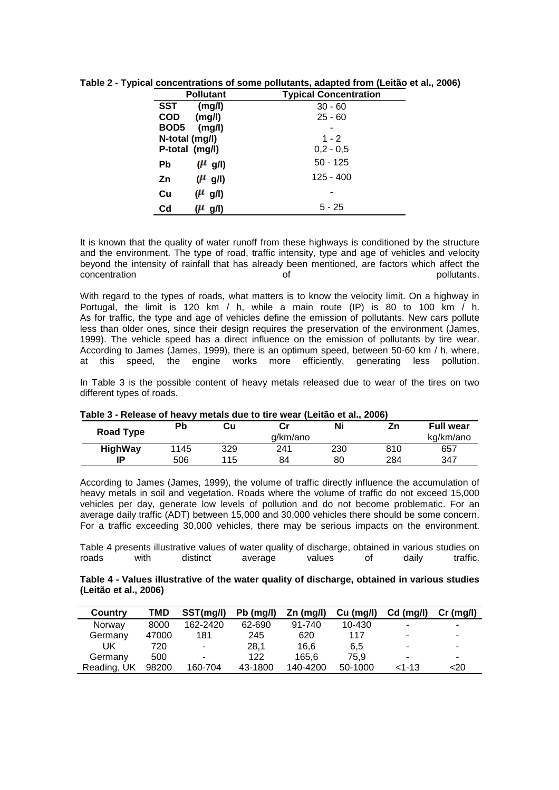| <b>Typical Concentration</b> |
|------------------------------|
| $30 - 60$                    |
| $25 - 60$                    |
|                              |
| $1 - 2$                      |
| $0,2 - 0,5$                  |
| $50 - 125$                   |
| $125 - 400$                  |
|                              |
| $5 - 25$                     |
|                              |

**Table 2 - Typical concentrations of some pollutants, adapted from (Leitão et al., 2006)** 

It is known that the quality of water runoff from these highways is conditioned by the structure and the environment. The type of road, traffic intensity, type and age of vehicles and velocity beyond the intensity of rainfall that has already been mentioned, are factors which affect the concentration concentration concentration of pollutants.

With regard to the types of roads, what matters is to know the velocity limit. On a highway in Portugal, the limit is 120 km / h, while a main route (IP) is 80 to 100 km / h. As for traffic, the type and age of vehicles define the emission of pollutants. New cars pollute less than older ones, since their design requires the preservation of the environment (James, 1999). The vehicle speed has a direct influence on the emission of pollutants by tire wear. According to James (James, 1999), there is an optimum speed, between 50-60 km / h, where, at this speed, the engine works more efficiently, generating less pollution.

In Table 3 is the possible content of heavy metals released due to wear of the tires on two different types of roads.

| Table J - Release Of Heavy Hielais due to the wear (Leitau et al., 2000) |      |     |          |     |     |                  |
|--------------------------------------------------------------------------|------|-----|----------|-----|-----|------------------|
| Road Type                                                                | Рb   | Cu  | Cı       | Ni  | Ζn  | <b>Full wear</b> |
|                                                                          |      |     | a/km/ano |     |     | kg/km/ano        |
| <b>HighWay</b>                                                           | 1145 | 329 | 241      | 230 | 810 | 657              |
|                                                                          | 506  | 115 | 84       | 80  | 284 | 347              |

**Table 3 - Release of heavy metals due to tire wear (Leitão et al., 2006)** 

According to James (James, 1999), the volume of traffic directly influence the accumulation of heavy metals in soil and vegetation. Roads where the volume of traffic do not exceed 15,000 vehicles per day, generate low levels of pollution and do not become problematic. For an average daily traffic (ADT) between 15,000 and 30,000 vehicles there should be some concern. For a traffic exceeding 30,000 vehicles, there may be serious impacts on the environment.

Table 4 presents illustrative values of water quality of discharge, obtained in various studies on roads with distinct average values of daily traffic.

#### **Table 4 - Values illustrative of the water quality of discharge, obtained in various studies (Leitão et al., 2006)**

| Country     | TMD   | SST(mg/l)      | $Pb$ (mg/l) | $Zn$ (mg/l) | Cu (mg/l) | $Cd$ (mg/l) | $Cr$ (mg/l)      |
|-------------|-------|----------------|-------------|-------------|-----------|-------------|------------------|
| Norway      | 8000  | 162-2420       | 62-690      | $91 - 740$  | 10-430    |             | ۰.               |
| Germany     | 47000 | 181            | 245         | 620         | 117       |             | ۰                |
| UK          | 720   | $\sim$         | 28.1        | 16.6        | 6.5       |             | ۰                |
| Germany     | 500   | $\blacksquare$ | 122         | 165.6       | 75.9      |             | ۰.               |
| Reading, UK | 98200 | 160-704        | 43-1800     | 140-4200    | 50-1000   | $<1-13$     | 20 <sub>20</sub> |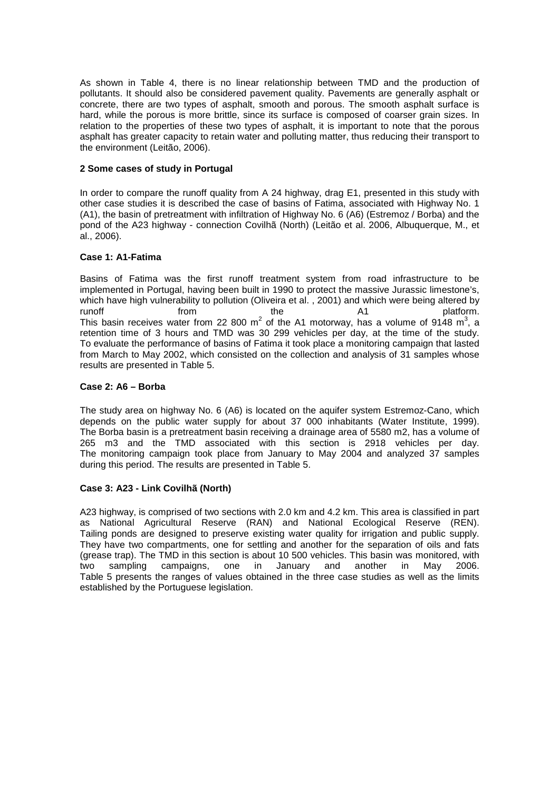As shown in Table 4, there is no linear relationship between TMD and the production of pollutants. It should also be considered pavement quality. Pavements are generally asphalt or concrete, there are two types of asphalt, smooth and porous. The smooth asphalt surface is hard, while the porous is more brittle, since its surface is composed of coarser grain sizes. In relation to the properties of these two types of asphalt, it is important to note that the porous asphalt has greater capacity to retain water and polluting matter, thus reducing their transport to the environment (Leitão, 2006).

#### **2 Some cases of study in Portugal**

In order to compare the runoff quality from A 24 highway, drag E1, presented in this study with other case studies it is described the case of basins of Fatima, associated with Highway No. 1 (A1), the basin of pretreatment with infiltration of Highway No. 6 (A6) (Estremoz / Borba) and the pond of the A23 highway - connection Covilhã (North) (Leitão et al. 2006, Albuquerque, M., et al., 2006).

## **Case 1: A1-Fatima**

Basins of Fatima was the first runoff treatment system from road infrastructure to be implemented in Portugal, having been built in 1990 to protect the massive Jurassic limestone's, which have high vulnerability to pollution (Oliveira et al., 2001) and which were being altered by runoff **from** the A1 platform. This basin receives water from 22 800 m<sup>2</sup> of the A1 motorway, has a volume of 9148 m<sup>3</sup>, a retention time of 3 hours and TMD was 30 299 vehicles per day, at the time of the study. To evaluate the performance of basins of Fatima it took place a monitoring campaign that lasted from March to May 2002, which consisted on the collection and analysis of 31 samples whose results are presented in Table 5.

#### **Case 2: A6 – Borba**

The study area on highway No. 6 (A6) is located on the aquifer system Estremoz-Cano, which depends on the public water supply for about 37 000 inhabitants (Water Institute, 1999). The Borba basin is a pretreatment basin receiving a drainage area of 5580 m2, has a volume of 265 m3 and the TMD associated with this section is 2918 vehicles per day. The monitoring campaign took place from January to May 2004 and analyzed 37 samples during this period. The results are presented in Table 5.

## **Case 3: A23 - Link Covilhã (North)**

A23 highway, is comprised of two sections with 2.0 km and 4.2 km. This area is classified in part as National Agricultural Reserve (RAN) and National Ecological Reserve (REN). Tailing ponds are designed to preserve existing water quality for irrigation and public supply. They have two compartments, one for settling and another for the separation of oils and fats (grease trap). The TMD in this section is about 10 500 vehicles. This basin was monitored, with two sampling campaigns, one in January and another in May 2006. Table 5 presents the ranges of values obtained in the three case studies as well as the limits established by the Portuguese legislation.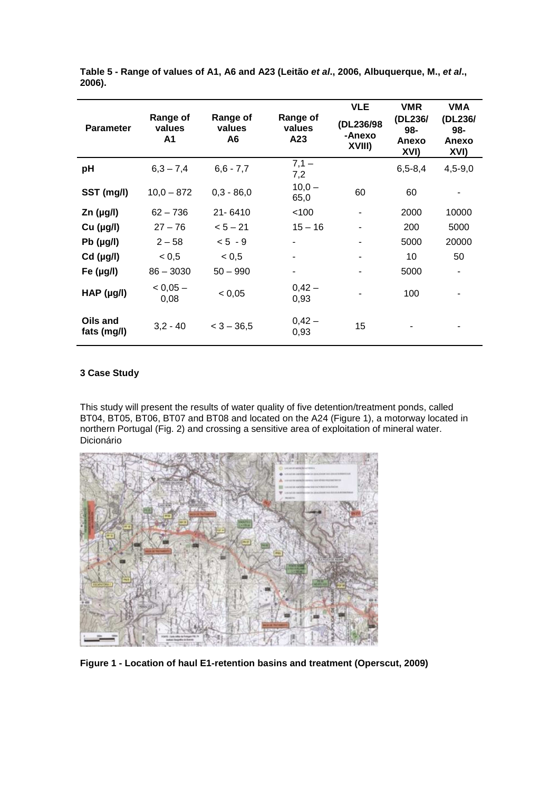| <b>Parameter</b>        | Range of<br>values<br>A <sub>1</sub> | Range of<br>values<br>A <sub>6</sub> | Range of<br>values<br>A23 | <b>VLE</b><br>(DL236/98<br>-Anexo<br>XVIII) | <b>VMR</b><br>(DL236/<br>98-<br>Anexo<br>XVI) | <b>VMA</b><br>(DL236/<br>98-<br>Anexo<br>XVI) |
|-------------------------|--------------------------------------|--------------------------------------|---------------------------|---------------------------------------------|-----------------------------------------------|-----------------------------------------------|
| pH                      | $6,3 - 7,4$                          | $6,6 - 7,7$                          | $7,1 -$<br>7,2            |                                             | $6, 5 - 8, 4$                                 | $4,5-9,0$                                     |
| SST (mg/l)              | $10,0 - 872$                         | $0,3 - 86,0$                         | $10,0 -$<br>65,0          | 60                                          | 60                                            |                                               |
| $Zn$ ( $\mu$ g/l)       | $62 - 736$                           | $21 - 6410$                          | < 100                     |                                             | 2000                                          | 10000                                         |
| Cu (µg/l)               | $27 - 76$                            | $< 5 - 21$                           | $15 - 16$                 |                                             | 200                                           | 5000                                          |
| $Pb$ ( $\mu$ g/l)       | $2 - 58$                             | $< 5 - 9$                            |                           |                                             | 5000                                          | 20000                                         |
| $Cd$ ( $\mu$ g/l)       | < 0.5                                | < 0.5                                |                           |                                             | 10                                            | 50                                            |
| Fe $(\mu g/l)$          | $86 - 3030$                          | $50 - 990$                           |                           |                                             | 5000                                          |                                               |
| $HAP$ ( $\mu$ g/l)      | $< 0.05 -$<br>0,08                   | < 0,05                               | $0,42 -$<br>0,93          |                                             | 100                                           |                                               |
| Oils and<br>fats (mg/l) | $3,2 - 40$                           | $<$ 3 – 36,5                         | $0,42 -$<br>0,93          | 15                                          |                                               |                                               |

**Table 5 - Range of values of A1, A6 and A23 (Leitão et al., 2006, Albuquerque, M., et al., 2006).** 

# **3 Case Study**

This study will present the results of water quality of five detention/treatment ponds, called BT04, BT05, BT06, BT07 and BT08 and located on the A24 (Figure 1), a motorway located in northern Portugal (Fig. 2) and crossing a sensitive area of exploitation of mineral water. Dicionário



**Figure 1 - Location of haul E1-retention basins and treatment (Operscut, 2009)**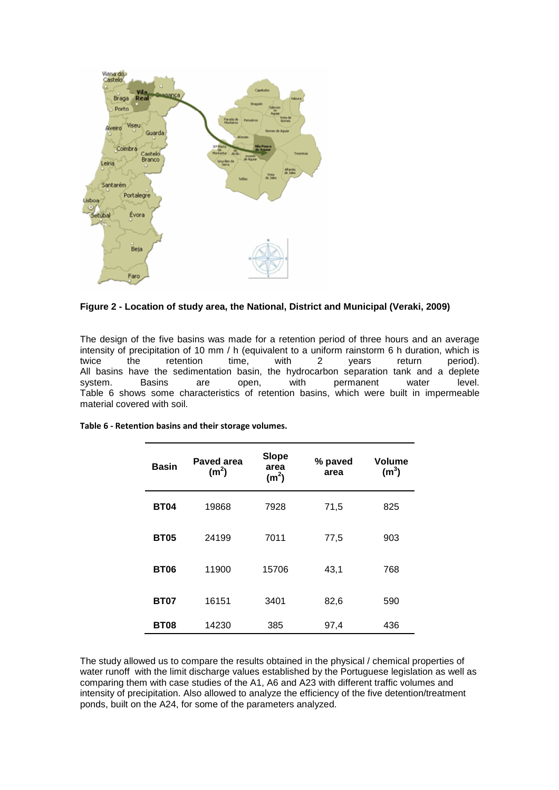

**Figure 2 - Location of study area, the National, District and Municipal (Veraki, 2009)** 

The design of the five basins was made for a retention period of three hours and an average intensity of precipitation of 10 mm / h (equivalent to a uniform rainstorm 6 h duration, which is twice the retention time, with 2 years return period). All basins have the sedimentation basin, the hydrocarbon separation tank and a deplete<br>system. Basins are open, with permanent water level. system. Basins are open, with permanent water level. Table 6 shows some characteristics of retention basins, which were built in impermeable material covered with soil.

| <b>Basin</b> | Paved area<br>(m <sup>2</sup> ) | <b>Slope</b><br>area<br>(m <sup>2</sup> ) | % paved<br>area | <b>Volume</b><br>(m <sup>3</sup> ) |
|--------------|---------------------------------|-------------------------------------------|-----------------|------------------------------------|
| <b>BT04</b>  | 19868                           | 7928                                      | 71,5            | 825                                |
| <b>BT05</b>  | 24199                           | 7011                                      | 77,5            | 903                                |
| <b>BT06</b>  | 11900                           | 15706                                     | 43,1            | 768                                |
| <b>BT07</b>  | 16151                           | 3401                                      | 82,6            | 590                                |
| <b>BT08</b>  | 14230                           | 385                                       | 97,4            | 436                                |

**Table 6 - Retention basins and their storage volumes.**

The study allowed us to compare the results obtained in the physical / chemical properties of water runoff with the limit discharge values established by the Portuguese legislation as well as comparing them with case studies of the A1, A6 and A23 with different traffic volumes and intensity of precipitation. Also allowed to analyze the efficiency of the five detention/treatment ponds, built on the A24, for some of the parameters analyzed.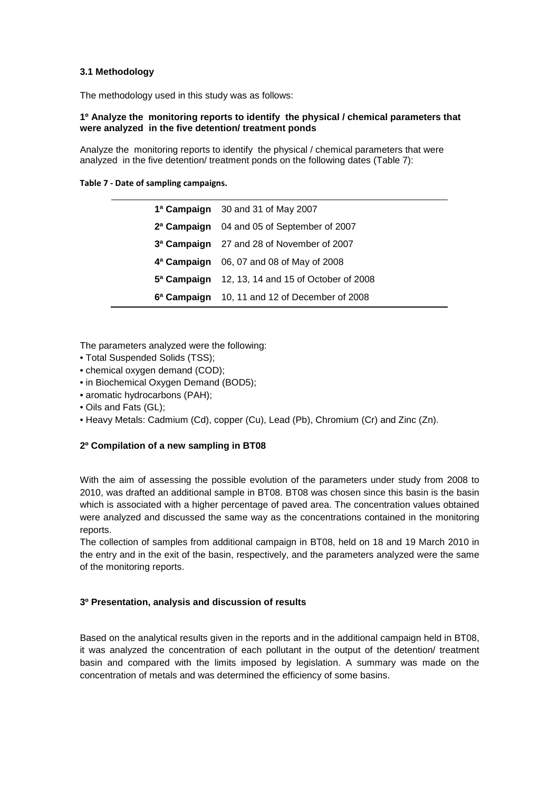## **3.1 Methodology**

The methodology used in this study was as follows:

#### **1º Analyze the monitoring reports to identify the physical / chemical parameters that were analyzed in the five detention/ treatment ponds**

Analyze the monitoring reports to identify the physical / chemical parameters that were analyzed in the five detention/ treatment ponds on the following dates (Table 7):

**Table 7 - Date of sampling campaigns.** 

|                         | 1 <sup>a</sup> Campaign 30 and 31 of May 2007          |
|-------------------------|--------------------------------------------------------|
|                         | 2 <sup>a</sup> Campaign 04 and 05 of September of 2007 |
|                         | 3ª Campaign 27 and 28 of November of 2007              |
|                         | $4a$ Campaign 06, 07 and 08 of May of 2008             |
| 5ª Campaign             | 12, 13, 14 and 15 of October of 2008                   |
| 6 <sup>a</sup> Campaign | 10, 11 and 12 of December of 2008                      |

The parameters analyzed were the following:

- Total Suspended Solids (TSS);
- chemical oxygen demand (COD);
- in Biochemical Oxygen Demand (BOD5);
- aromatic hydrocarbons (PAH);
- Oils and Fats (GL);
- Heavy Metals: Cadmium (Cd), copper (Cu), Lead (Pb), Chromium (Cr) and Zinc (Zn).

## **2º Compilation of a new sampling in BT08**

With the aim of assessing the possible evolution of the parameters under study from 2008 to 2010, was drafted an additional sample in BT08. BT08 was chosen since this basin is the basin which is associated with a higher percentage of paved area. The concentration values obtained were analyzed and discussed the same way as the concentrations contained in the monitoring reports.

The collection of samples from additional campaign in BT08, held on 18 and 19 March 2010 in the entry and in the exit of the basin, respectively, and the parameters analyzed were the same of the monitoring reports.

## **3º Presentation, analysis and discussion of results**

Based on the analytical results given in the reports and in the additional campaign held in BT08, it was analyzed the concentration of each pollutant in the output of the detention/ treatment basin and compared with the limits imposed by legislation. A summary was made on the concentration of metals and was determined the efficiency of some basins.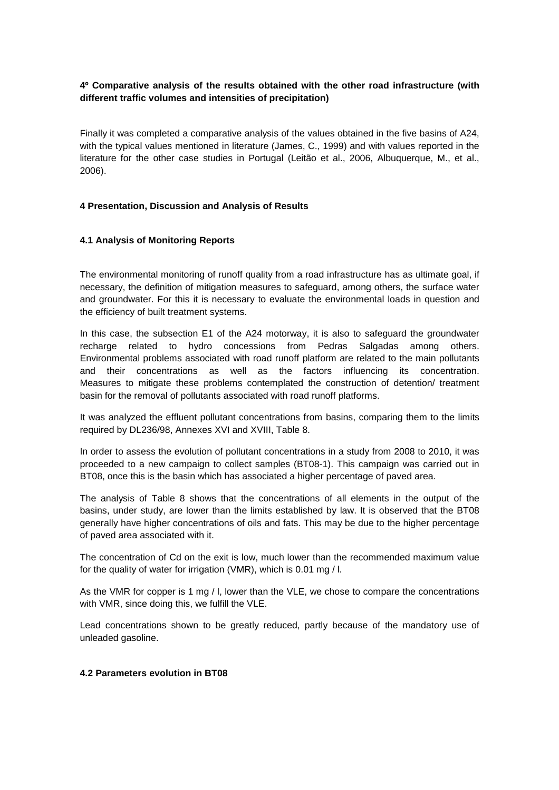# **4º Comparative analysis of the results obtained with the other road infrastructure (with different traffic volumes and intensities of precipitation)**

Finally it was completed a comparative analysis of the values obtained in the five basins of A24, with the typical values mentioned in literature (James, C., 1999) and with values reported in the literature for the other case studies in Portugal (Leitão et al., 2006, Albuquerque, M., et al., 2006).

## **4 Presentation, Discussion and Analysis of Results**

# **4.1 Analysis of Monitoring Reports**

The environmental monitoring of runoff quality from a road infrastructure has as ultimate goal, if necessary, the definition of mitigation measures to safeguard, among others, the surface water and groundwater. For this it is necessary to evaluate the environmental loads in question and the efficiency of built treatment systems.

In this case, the subsection E1 of the A24 motorway, it is also to safeguard the groundwater recharge related to hydro concessions from Pedras Salgadas among others. Environmental problems associated with road runoff platform are related to the main pollutants and their concentrations as well as the factors influencing its concentration. Measures to mitigate these problems contemplated the construction of detention/ treatment basin for the removal of pollutants associated with road runoff platforms.

It was analyzed the effluent pollutant concentrations from basins, comparing them to the limits required by DL236/98, Annexes XVI and XVIII, Table 8.

In order to assess the evolution of pollutant concentrations in a study from 2008 to 2010, it was proceeded to a new campaign to collect samples (BT08-1). This campaign was carried out in BT08, once this is the basin which has associated a higher percentage of paved area.

The analysis of Table 8 shows that the concentrations of all elements in the output of the basins, under study, are lower than the limits established by law. It is observed that the BT08 generally have higher concentrations of oils and fats. This may be due to the higher percentage of paved area associated with it.

The concentration of Cd on the exit is low, much lower than the recommended maximum value for the quality of water for irrigation (VMR), which is 0.01 mg / l.

As the VMR for copper is 1 mg / I, lower than the VLE, we chose to compare the concentrations with VMR, since doing this, we fulfill the VLE.

Lead concentrations shown to be greatly reduced, partly because of the mandatory use of unleaded gasoline.

# **4.2 Parameters evolution in BT08**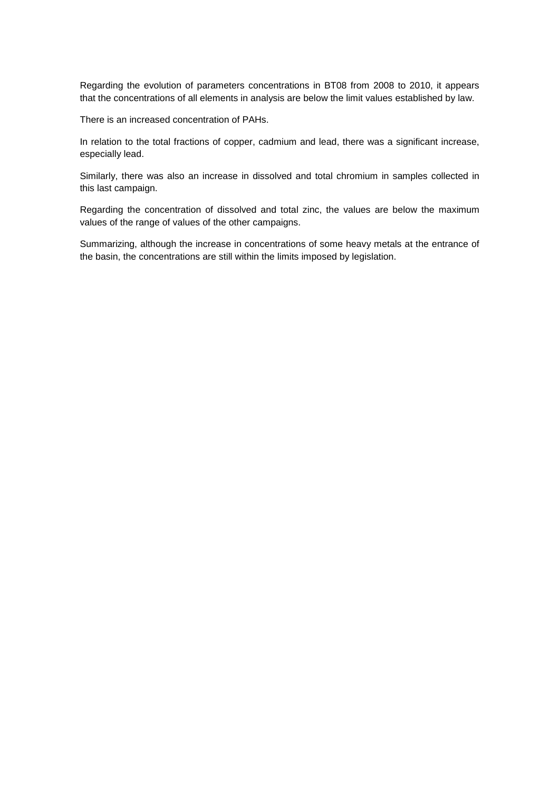Regarding the evolution of parameters concentrations in BT08 from 2008 to 2010, it appears that the concentrations of all elements in analysis are below the limit values established by law.

There is an increased concentration of PAHs.

In relation to the total fractions of copper, cadmium and lead, there was a significant increase, especially lead.

Similarly, there was also an increase in dissolved and total chromium in samples collected in this last campaign.

Regarding the concentration of dissolved and total zinc, the values are below the maximum values of the range of values of the other campaigns.

Summarizing, although the increase in concentrations of some heavy metals at the entrance of the basin, the concentrations are still within the limits imposed by legislation.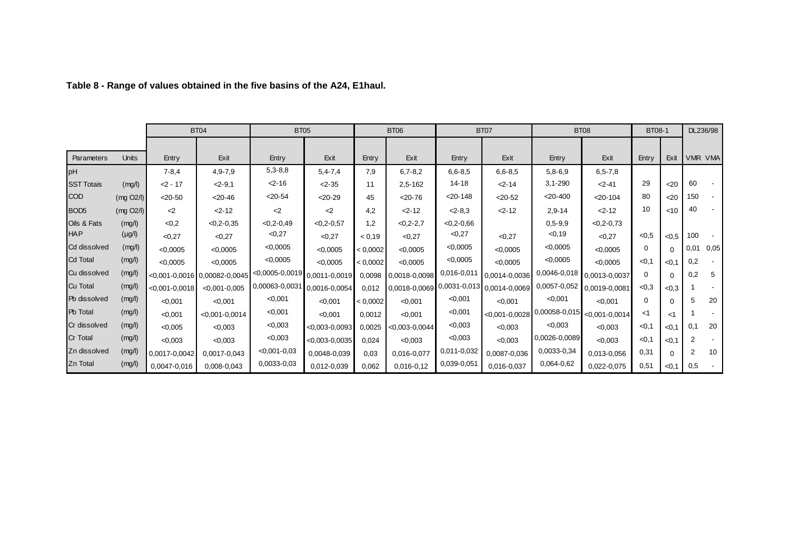|                   |              | <b>BT04</b>        |                                 | <b>BT05</b>                     |                    |          | <b>BT06</b>                              |                  | <b>BT07</b>        |                   | <b>BT08</b>        |        | <b>BT08-1</b> |                | DL236/98 |  |
|-------------------|--------------|--------------------|---------------------------------|---------------------------------|--------------------|----------|------------------------------------------|------------------|--------------------|-------------------|--------------------|--------|---------------|----------------|----------|--|
|                   |              |                    |                                 |                                 |                    |          |                                          |                  |                    |                   |                    |        |               |                |          |  |
| Parameters        | <b>Units</b> | Entry              | Exit                            | Entry                           | Exit               | Entry    | Exit                                     | Entry            | Exit               | Entry             | Exit               | Entry  | Exit          | VMR VMA        |          |  |
| pH                |              | $7 - 8,4$          | $4,9 - 7,9$                     | $5,3 - 8,8$                     | $5,4 - 7,4$        | 7,9      | $6,7 - 8,2$                              | $6,6 - 8,5$      | $6,6 - 8,5$        | $5,8-6,9$         | $6, 5 - 7, 8$      |        |               |                |          |  |
| <b>SST Totais</b> | (mg/l)       | $-2 - 17$          | $2 - 9,1$                       | $2 - 16$                        | $< 2 - 35$         | 11       | 2,5-162                                  | $14 - 18$        | $2 - 14$           | $3,1 - 290$       | $2 - 41$           | 29     | $20$          | 60             |          |  |
| <b>COD</b>        | (mg O2/l)    | $< 20 - 50$        | $< 20 - 46$                     | $< 20 - 54$                     | $20-29$            | 45       | $20-76$                                  | $<$ 20-148       | $< 20 - 52$        | $<$ 20-400        | $< 20 - 104$       | 80     | $20$          | 150            |          |  |
| BOD <sub>5</sub>  | (mg O2/l)    | $2$                | $2 - 12$                        | $2$                             | $\leq$             | 4,2      | $2 - 12$                                 | $2 - 8.3$        | $2 - 12$           | $2.9 - 14$        | $2 - 12$           | 10     | $<$ 10        | 40             |          |  |
| Oils & Fats       | (mg/l)       | < 0, 2             | $< 0, 2 - 0, 35$                | $< 0, 2 - 0, 49$                | $< 0, 2 - 0, 57$   | 1,2      | $< 0, 2 - 2, 7$                          | $< 0, 2 - 0, 66$ |                    | $0.5 - 9.9$       | $< 0, 2 - 0, 73$   |        |               |                |          |  |
| <b>HAP</b>        | $(\mu g/I)$  | < 0.27             | < 0.27                          | < 0,27                          | < 0.27             | < 0.19   | < 0,27                                   | < 0,27           | < 0,27             | < 0.19            | < 0, 27            | < 0, 5 | < 0.5         | 100            |          |  |
| Cd dissolved      | (mg/l)       | < 0,0005           | < 0,0005                        | < 0,0005                        | < 0,0005           | < 0,0002 | < 0,0005                                 | < 0,0005         | < 0,0005           | < 0,0005          | < 0,0005           | 0      | $\Omega$      | 0,01           | 0,05     |  |
| <b>Cd Total</b>   | (mg/l)       | < 0.0005           | < 0,0005                        | < 0,0005                        | < 0,0005           | < 0,0002 | < 0.0005                                 | < 0,0005         | < 0,0005           | < 0,0005          | < 0,0005           | <0,1   | < 0.1         | 0,2            |          |  |
| Cu dissolved      | (mg/l)       |                    | $<$ 0,001-0,0016 0,00082-0,0045 | $<$ 0,0005-0,0019 0,0011-0,0019 |                    | 0,0098   | 0.0018-0.0098                            | 0,016-0,011      | 0,0014-0,0036      | 0,0046-0,018      | 0,0013-0,0037      | 0      | 0             | 0,2            | - 5      |  |
| Cu Total          | (mg/l)       | $< 0,001 - 0,0018$ | $<$ 0,001-0,005                 | 0,00063-0,0031                  | 0,0016-0,0054      | 0,012    | 0,0018-0,0069 0,0031-0,013 0,0014-0,0069 |                  |                    | 0,0057-0,052      | 0.0019-0.0081      | < 0, 3 | <0.3          |                |          |  |
| Pb dissolved      | (mg/l)       | < 0.001            | < 0,001                         | < 0,001                         | < 0,001            | < 0,0002 | < 0,001                                  | < 0,001          | < 0,001            | < 0,001           | < 0,001            | 0      | $\Omega$      | 5              | 20       |  |
| Pb Total          | (mg/l)       | < 0.001            | $<$ 0,001-0,0014                | < 0,001                         | < 0,001            | 0,0012   | < 0,001                                  | < 0,001          | $< 0.001 - 0.0028$ | 0,00058-0,015     | $< 0.001 - 0.0014$ | <1     | $<$ 1         |                |          |  |
| Cr dissolved      | (mg/l)       | < 0.005            | < 0.003                         | < 0,003                         | $< 0,003 - 0,0093$ | 0,0025   | $< 0.003 - 0.0044$                       | < 0,003          | < 0.003            | < 0,003           | <0,003             | < 0.1  | < 0.1         | 0,1            | 20       |  |
| Cr Total          | (mg/l)       | <0,003             | < 0,003                         | <0,003                          | $<$ 0,003-0,0035   | 0.024    | < 0,003                                  | < 0,003          | < 0,003            | $0,0026 - 0,0089$ | < 0,003            | < 0.1  | < 0.1         | $\overline{2}$ |          |  |
| Zn dissolved      | (mg/l)       | 0,0017-0,0042      | 0,0017-0,043                    | $< 0,001 - 0,03$                | 0,0048-0,039       | 0,03     | 0,016-0,077                              | 0,011-0,032      | 0,0087-0,036       | 0.0033-0.34       | 0,013-0,056        | 0,31   | $\Omega$      | $\overline{2}$ | 10       |  |
| Zn Total          | (mg/l)       | 0,0047-0,016       | 0,008-0,043                     | 0,0033-0,03                     | 0,012-0,039        | 0,062    | $0,016-0,12$                             | 0,039-0,051      | 0.016-0.037        | 0,064-0,62        | 0,022-0,075        | 0,51   | < 0.1         | 0,5            |          |  |

#### **Table 8 - Range of values obtained in the five basins of the A24, E1haul.**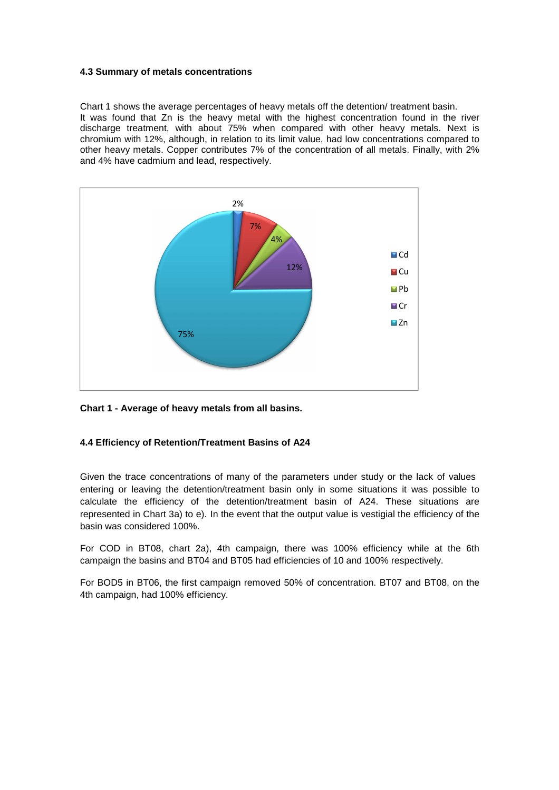#### **4.3 Summary of metals concentrations**

Chart 1 shows the average percentages of heavy metals off the detention/ treatment basin. It was found that Zn is the heavy metal with the highest concentration found in the river discharge treatment, with about 75% when compared with other heavy metals. Next is chromium with 12%, although, in relation to its limit value, had low concentrations compared to other heavy metals. Copper contributes 7% of the concentration of all metals. Finally, with 2% and 4% have cadmium and lead, respectively.



## **Chart 1 - Average of heavy metals from all basins.**

## **4.4 Efficiency of Retention/Treatment Basins of A24**

Given the trace concentrations of many of the parameters under study or the lack of values entering or leaving the detention/treatment basin only in some situations it was possible to calculate the efficiency of the detention/treatment basin of A24. These situations are represented in Chart 3a) to e). In the event that the output value is vestigial the efficiency of the basin was considered 100%.

For COD in BT08, chart 2a), 4th campaign, there was 100% efficiency while at the 6th campaign the basins and BT04 and BT05 had efficiencies of 10 and 100% respectively.

For BOD5 in BT06, the first campaign removed 50% of concentration. BT07 and BT08, on the 4th campaign, had 100% efficiency.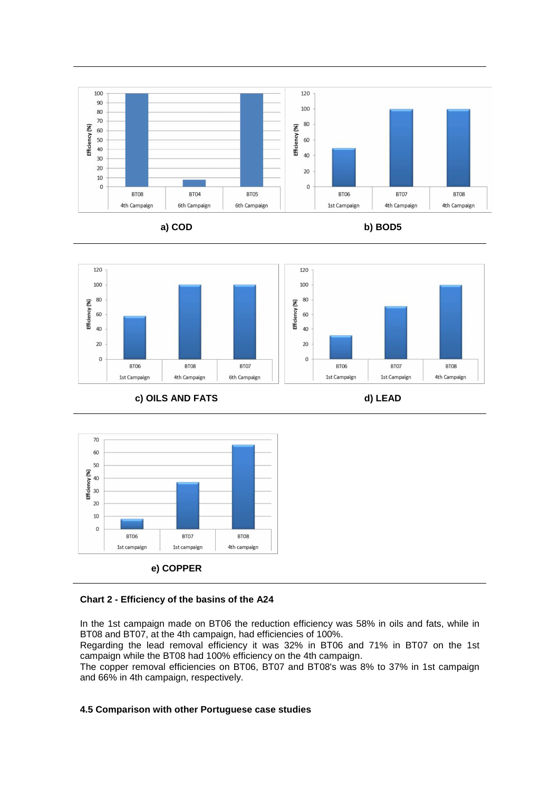











## **Chart 2 - Efficiency of the basins of the A24**

In the 1st campaign made on BT06 the reduction efficiency was 58% in oils and fats, while in BT08 and BT07, at the 4th campaign, had efficiencies of 100%.

Regarding the lead removal efficiency it was 32% in BT06 and 71% in BT07 on the 1st campaign while the BT08 had 100% efficiency on the 4th campaign.

The copper removal efficiencies on BT06, BT07 and BT08's was 8% to 37% in 1st campaign and 66% in 4th campaign, respectively.

## **4.5 Comparison with other Portuguese case studies**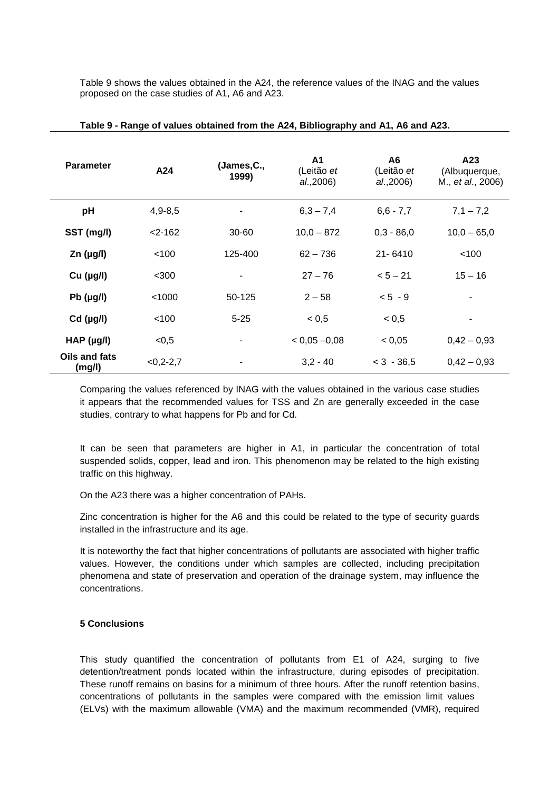Table 9 shows the values obtained in the A24, the reference values of the INAG and the values proposed on the case studies of A1, A6 and A23.

| <b>Parameter</b>        | A24             | (James, C.,<br>1999)     | A1<br>(Leitão et<br>al., 2006) | A6<br>(Leitão et<br>al., 2006) | A23<br>(Albuquerque,<br>M., et al., 2006) |
|-------------------------|-----------------|--------------------------|--------------------------------|--------------------------------|-------------------------------------------|
| pH                      | $4,9 - 8,5$     |                          | $6,3 - 7,4$                    | $6,6 - 7,7$                    | $7,1 - 7,2$                               |
| SST (mg/l)              | $2 - 162$       | 30-60                    | $10,0 - 872$                   | $0,3 - 86,0$                   | $10,0 - 65,0$                             |
| $Zn$ (µg/l)             | < 100           | 125-400                  | $62 - 736$                     | $21 - 6410$                    | < 100                                     |
| Cu (µg/l)               | $300$           | $\overline{\phantom{a}}$ | $27 - 76$                      | $< 5 - 21$                     | $15 - 16$                                 |
| $Pb$ (µg/l)             | < 1000          | 50-125                   | $2 - 58$                       | $< 5 - 9$                      | $\overline{\phantom{a}}$                  |
| $Cd$ ( $\mu$ g/l)       | < 100           | $5 - 25$                 | < 0.5                          | < 0.5                          |                                           |
| $HAP$ ( $\mu$ g/l)      | < 0.5           |                          | $< 0.05 - 0.08$                | < 0.05                         | $0,42 - 0,93$                             |
| Oils and fats<br>(mg/l) | $< 0, 2 - 2, 7$ |                          | $3.2 - 40$                     | $< 3 - 36.5$                   | $0,42 - 0,93$                             |

#### **Table 9 - Range of values obtained from the A24, Bibliography and A1, A6 and A23.**

Comparing the values referenced by INAG with the values obtained in the various case studies it appears that the recommended values for TSS and Zn are generally exceeded in the case studies, contrary to what happens for Pb and for Cd.

It can be seen that parameters are higher in A1, in particular the concentration of total suspended solids, copper, lead and iron. This phenomenon may be related to the high existing traffic on this highway.

On the A23 there was a higher concentration of PAHs.

Zinc concentration is higher for the A6 and this could be related to the type of security guards installed in the infrastructure and its age.

It is noteworthy the fact that higher concentrations of pollutants are associated with higher traffic values. However, the conditions under which samples are collected, including precipitation phenomena and state of preservation and operation of the drainage system, may influence the concentrations.

## **5 Conclusions**

This study quantified the concentration of pollutants from E1 of A24, surging to five detention/treatment ponds located within the infrastructure, during episodes of precipitation. These runoff remains on basins for a minimum of three hours. After the runoff retention basins, concentrations of pollutants in the samples were compared with the emission limit values (ELVs) with the maximum allowable (VMA) and the maximum recommended (VMR), required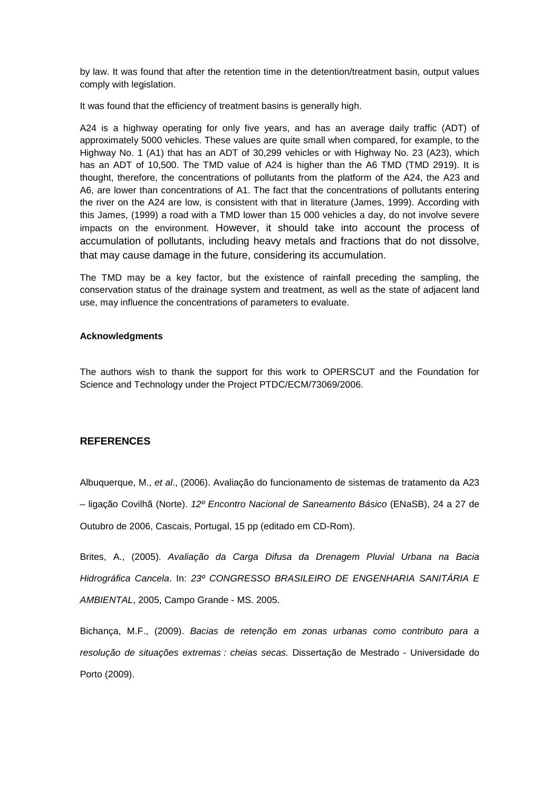by law. It was found that after the retention time in the detention/treatment basin, output values comply with legislation.

It was found that the efficiency of treatment basins is generally high.

A24 is a highway operating for only five years, and has an average daily traffic (ADT) of approximately 5000 vehicles. These values are quite small when compared, for example, to the Highway No. 1 (A1) that has an ADT of 30,299 vehicles or with Highway No. 23 (A23), which has an ADT of 10,500. The TMD value of A24 is higher than the A6 TMD (TMD 2919). It is thought, therefore, the concentrations of pollutants from the platform of the A24, the A23 and A6, are lower than concentrations of A1. The fact that the concentrations of pollutants entering the river on the A24 are low, is consistent with that in literature (James, 1999). According with this James, (1999) a road with a TMD lower than 15 000 vehicles a day, do not involve severe impacts on the environment. However, it should take into account the process of accumulation of pollutants, including heavy metals and fractions that do not dissolve, that may cause damage in the future, considering its accumulation.

The TMD may be a key factor, but the existence of rainfall preceding the sampling, the conservation status of the drainage system and treatment, as well as the state of adjacent land use, may influence the concentrations of parameters to evaluate.

#### **Acknowledgments**

The authors wish to thank the support for this work to OPERSCUT and the Foundation for Science and Technology under the Project PTDC/ECM/73069/2006.

## **REFERENCES**

Albuquerque, M., et al., (2006). Avaliação do funcionamento de sistemas de tratamento da A23 – ligação Covilhã (Norte). 12º Encontro Nacional de Saneamento Básico (ENaSB), 24 a 27 de Outubro de 2006, Cascais, Portugal, 15 pp (editado em CD-Rom).

Brites, A., (2005). Avaliação da Carga Difusa da Drenagem Pluvial Urbana na Bacia Hidrográfica Cancela. In: 23º CONGRESSO BRASILEIRO DE ENGENHARIA SANITÁRIA E AMBIENTAL, 2005, Campo Grande - MS. 2005.

Bichança, M.F., (2009). Bacias de retenção em zonas urbanas como contributo para a resolução de situações extremas : cheias secas. Dissertação de Mestrado - Universidade do Porto (2009).